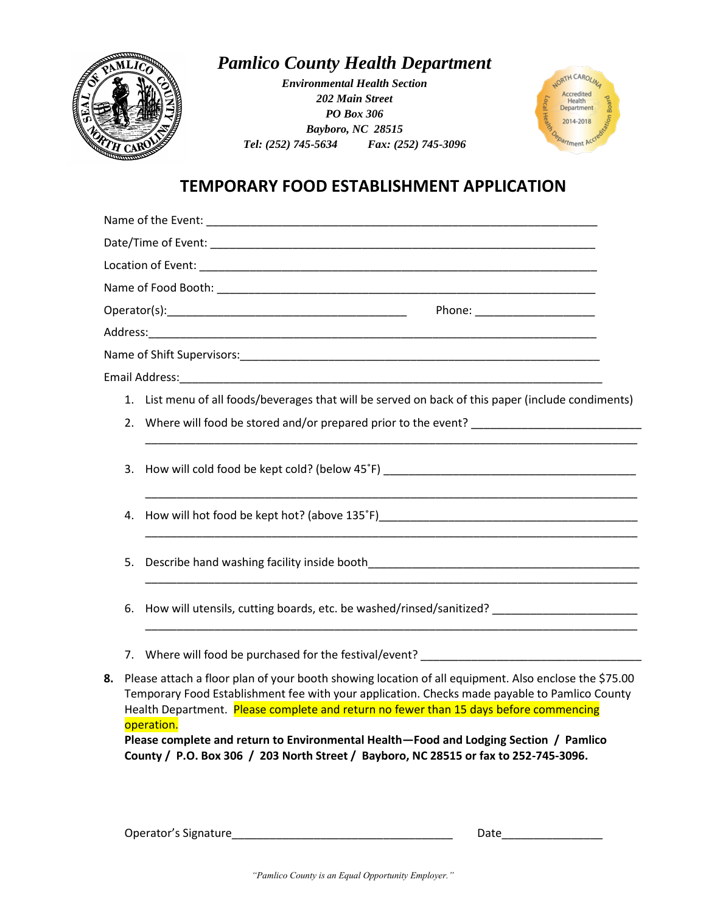

*Pamlico County Health Department*

*Environmental Health Section 202 Main Street PO Box 306 Bayboro, NC 28515 Tel: (252) 745-5634 Fax: (252) 745-3096*



## **TEMPORARY FOOD ESTABLISHMENT APPLICATION**

|    | Phone: ______________________                                                                                                                                                                         |                                                                                                                                                                                                                                |  |
|----|-------------------------------------------------------------------------------------------------------------------------------------------------------------------------------------------------------|--------------------------------------------------------------------------------------------------------------------------------------------------------------------------------------------------------------------------------|--|
|    |                                                                                                                                                                                                       |                                                                                                                                                                                                                                |  |
|    |                                                                                                                                                                                                       |                                                                                                                                                                                                                                |  |
|    |                                                                                                                                                                                                       |                                                                                                                                                                                                                                |  |
|    |                                                                                                                                                                                                       | 1. List menu of all foods/beverages that will be served on back of this paper (include condiments)                                                                                                                             |  |
|    | 2.                                                                                                                                                                                                    |                                                                                                                                                                                                                                |  |
|    |                                                                                                                                                                                                       |                                                                                                                                                                                                                                |  |
|    | 3.                                                                                                                                                                                                    | How will cold food be kept cold? (below 45°F) ___________________________________                                                                                                                                              |  |
|    |                                                                                                                                                                                                       |                                                                                                                                                                                                                                |  |
|    | 4.                                                                                                                                                                                                    |                                                                                                                                                                                                                                |  |
|    |                                                                                                                                                                                                       |                                                                                                                                                                                                                                |  |
|    | 5.                                                                                                                                                                                                    |                                                                                                                                                                                                                                |  |
|    |                                                                                                                                                                                                       |                                                                                                                                                                                                                                |  |
|    | 6.                                                                                                                                                                                                    | How will utensils, cutting boards, etc. be washed/rinsed/sanitized? ________________________________                                                                                                                           |  |
|    |                                                                                                                                                                                                       |                                                                                                                                                                                                                                |  |
|    |                                                                                                                                                                                                       | 7. Where will food be purchased for the festival/event? The manufacturer of the state of the state of the state of the state of the state of the state of the state of the state of the state of the state of the state of the |  |
|    |                                                                                                                                                                                                       |                                                                                                                                                                                                                                |  |
| 8. | Please attach a floor plan of your booth showing location of all equipment. Also enclose the \$75.00<br>Temporary Food Establishment fee with your application. Checks made payable to Pamlico County |                                                                                                                                                                                                                                |  |
|    |                                                                                                                                                                                                       | Health Department. Please complete and return no fewer than 15 days before commencing                                                                                                                                          |  |
|    |                                                                                                                                                                                                       | operation.                                                                                                                                                                                                                     |  |
|    | Please complete and return to Environmental Health-Food and Lodging Section / Pamlico                                                                                                                 |                                                                                                                                                                                                                                |  |
|    |                                                                                                                                                                                                       | County / P.O. Box 306 / 203 North Street / Bayboro, NC 28515 or fax to 252-745-3096.                                                                                                                                           |  |

Operator's Signature\_\_\_\_\_\_\_\_\_\_\_\_\_\_\_\_\_\_\_\_\_\_\_\_\_\_\_\_\_\_\_\_\_\_\_ Date\_\_\_\_\_\_\_\_\_\_\_\_\_\_\_\_